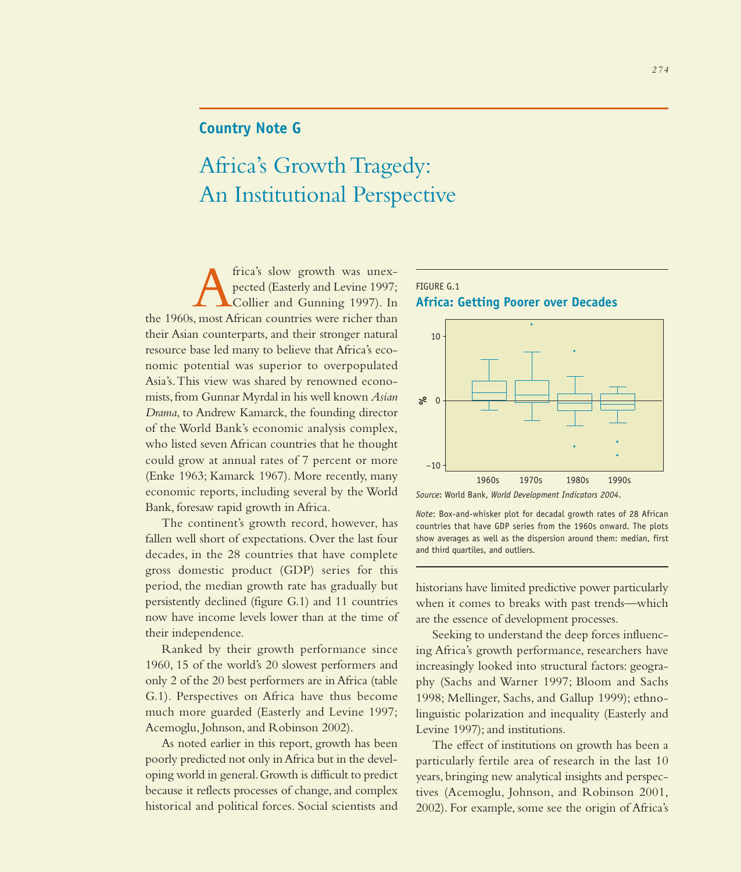# **Country Note G**

# Africa's Growth Tragedy: An Institutional Perspective

frica's slow growth was unex-<br>pected (Easterly and Levine 1997;<br>Collier and Gunning 1997). In pected (Easterly and Levine 1997; Collier and Gunning 1997). In the 1960s, most African countries were richer than their Asian counterparts, and their stronger natural resource base led many to believe that Africa's economic potential was superior to overpopulated Asia's.This view was shared by renowned economists,from Gunnar Myrdal in his well known *Asian Drama*, to Andrew Kamarck, the founding director of the World Bank's economic analysis complex, who listed seven African countries that he thought could grow at annual rates of 7 percent or more (Enke 1963; Kamarck 1967). More recently, many economic reports, including several by the World Bank, foresaw rapid growth in Africa.

The continent's growth record, however, has fallen well short of expectations. Over the last four decades, in the 28 countries that have complete gross domestic product (GDP) series for this period, the median growth rate has gradually but persistently declined (figure G.1) and 11 countries now have income levels lower than at the time of their independence.

Ranked by their growth performance since 1960, 15 of the world's 20 slowest performers and only 2 of the 20 best performers are in Africa (table G.1). Perspectives on Africa have thus become much more guarded (Easterly and Levine 1997; Acemoglu, Johnson, and Robinson 2002).

As noted earlier in this report, growth has been poorly predicted not only in Africa but in the developing world in general.Growth is difficult to predict because it reflects processes of change, and complex historical and political forces. Social scientists and

# FIGURE G.1 **Africa: Getting Poorer over Decades**



*Source*: World Bank, *World Development Indicators 2004*.

*Note*: Box-and-whisker plot for decadal growth rates of 28 African countries that have GDP series from the 1960s onward. The plots show averages as well as the dispersion around them: median, first and third quartiles, and outliers.

historians have limited predictive power particularly when it comes to breaks with past trends—which are the essence of development processes.

Seeking to understand the deep forces influencing Africa's growth performance, researchers have increasingly looked into structural factors: geography (Sachs and Warner 1997; Bloom and Sachs 1998; Mellinger, Sachs, and Gallup 1999); ethnolinguistic polarization and inequality (Easterly and Levine 1997); and institutions.

The effect of institutions on growth has been a particularly fertile area of research in the last 10 years, bringing new analytical insights and perspectives (Acemoglu, Johnson, and Robinson 2001, 2002). For example, some see the origin of Africa's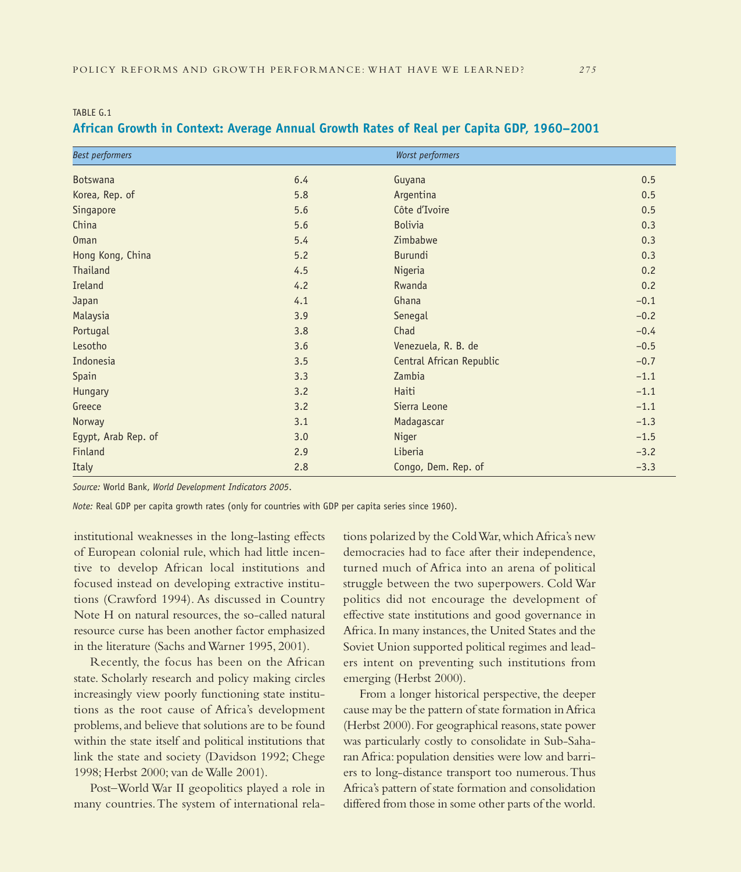| <b>Best performers</b> |     | Worst performers         |        |
|------------------------|-----|--------------------------|--------|
| <b>Botswana</b>        | 6.4 | Guyana                   | 0.5    |
| Korea, Rep. of         | 5.8 | Argentina                | 0.5    |
| Singapore              | 5.6 | Côte d'Ivoire            | 0.5    |
| China                  | 5.6 | <b>Bolivia</b>           | 0.3    |
| <b>Oman</b>            | 5.4 | Zimbabwe                 | 0.3    |
| Hong Kong, China       | 5.2 | <b>Burundi</b>           | 0.3    |
| Thailand               | 4.5 | Nigeria                  | 0.2    |
| Ireland                | 4.2 | Rwanda                   | 0.2    |
| Japan                  | 4.1 | Ghana                    | $-0.1$ |
| Malaysia               | 3.9 | Senegal                  | $-0.2$ |
| Portugal               | 3.8 | Chad                     | $-0.4$ |
| Lesotho                | 3.6 | Venezuela, R. B. de      | $-0.5$ |
| Indonesia              | 3.5 | Central African Republic | $-0.7$ |
| Spain                  | 3.3 | Zambia                   | $-1.1$ |
| Hungary                | 3.2 | Haiti                    | $-1.1$ |
| Greece                 | 3.2 | Sierra Leone             | $-1.1$ |
| Norway                 | 3.1 | Madagascar               | $-1.3$ |
| Egypt, Arab Rep. of    | 3.0 | Niger                    | $-1.5$ |
| Finland                | 2.9 | Liberia                  | $-3.2$ |
| Italy                  | 2.8 | Congo, Dem. Rep. of      | $-3.3$ |

#### TABLE G.1

## **African Growth in Context: Average Annual Growth Rates of Real per Capita GDP, 1960–2001**

*Source:* World Bank, *World Development Indicators 2005*.

*Note:* Real GDP per capita growth rates (only for countries with GDP per capita series since 1960).

institutional weaknesses in the long-lasting effects of European colonial rule, which had little incentive to develop African local institutions and focused instead on developing extractive institutions (Crawford 1994). As discussed in Country Note H on natural resources, the so-called natural resource curse has been another factor emphasized in the literature (Sachs and Warner 1995, 2001).

Recently, the focus has been on the African state. Scholarly research and policy making circles increasingly view poorly functioning state institutions as the root cause of Africa's development problems,and believe that solutions are to be found within the state itself and political institutions that link the state and society (Davidson 1992; Chege 1998; Herbst 2000; van de Walle 2001).

Post–World War II geopolitics played a role in many countries.The system of international relations polarized by the Cold War, which Africa's new democracies had to face after their independence, turned much of Africa into an arena of political struggle between the two superpowers. Cold War politics did not encourage the development of effective state institutions and good governance in Africa. In many instances, the United States and the Soviet Union supported political regimes and leaders intent on preventing such institutions from emerging (Herbst 2000).

From a longer historical perspective, the deeper cause may be the pattern of state formation in Africa (Herbst 2000). For geographical reasons, state power was particularly costly to consolidate in Sub-Saharan Africa: population densities were low and barriers to long-distance transport too numerous.Thus Africa's pattern of state formation and consolidation differed from those in some other parts of the world.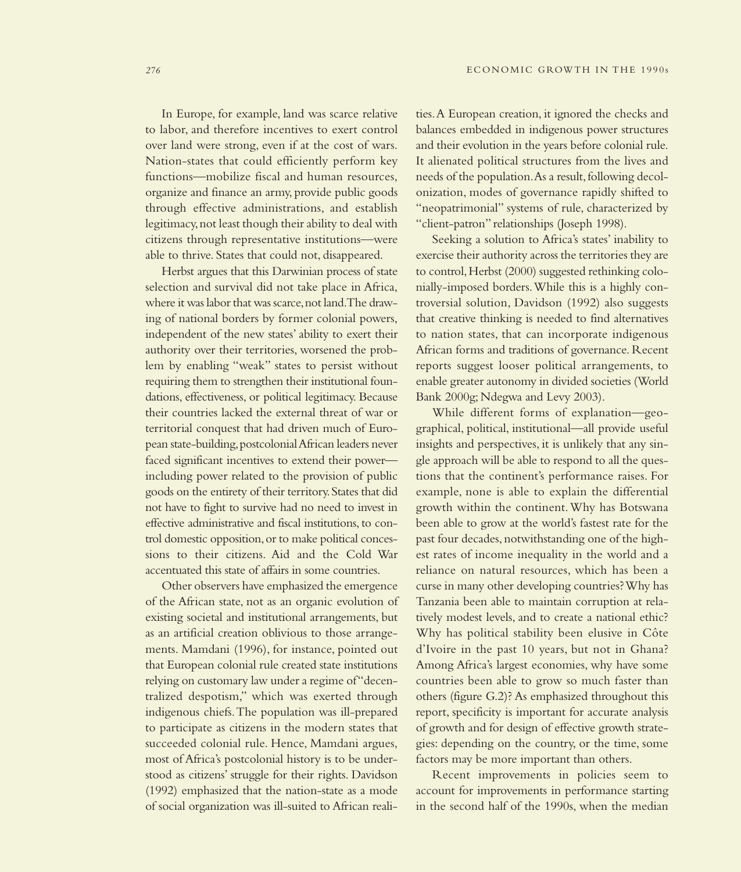In Europe, for example, land was scarce relative to labor, and therefore incentives to exert control over land were strong, even if at the cost of wars. Nation-states that could efficiently perform key functions—mobilize fiscal and human resources, organize and finance an army, provide public goods through effective administrations, and establish legitimacy,not least though their ability to deal with citizens through representative institutions—were able to thrive. States that could not, disappeared.

Herbst argues that this Darwinian process of state selection and survival did not take place in Africa, where it was labor that was scarce, not land. The drawing of national borders by former colonial powers, independent of the new states' ability to exert their authority over their territories, worsened the problem by enabling "weak" states to persist without requiring them to strengthen their institutional foundations, effectiveness, or political legitimacy. Because their countries lacked the external threat of war or territorial conquest that had driven much of European state-building, postcolonial African leaders never faced significant incentives to extend their power including power related to the provision of public goods on the entirety of their territory.States that did not have to fight to survive had no need to invest in effective administrative and fiscal institutions, to control domestic opposition,or to make political concessions to their citizens. Aid and the Cold War accentuated this state of affairs in some countries.

Other observers have emphasized the emergence of the African state, not as an organic evolution of existing societal and institutional arrangements, but as an artificial creation oblivious to those arrangements. Mamdani (1996), for instance, pointed out that European colonial rule created state institutions relying on customary law under a regime of "decentralized despotism," which was exerted through indigenous chiefs.The population was ill-prepared to participate as citizens in the modern states that succeeded colonial rule. Hence, Mamdani argues, most of Africa's postcolonial history is to be understood as citizens' struggle for their rights. Davidson (1992) emphasized that the nation-state as a mode of social organization was ill-suited to African realities.A European creation, it ignored the checks and balances embedded in indigenous power structures and their evolution in the years before colonial rule. It alienated political structures from the lives and needs of the population. As a result, following decolonization, modes of governance rapidly shifted to "neopatrimonial" systems of rule, characterized by "client-patron" relationships (Joseph 1998).

Seeking a solution to Africa's states' inability to exercise their authority across the territories they are to control, Herbst (2000) suggested rethinking colonially-imposed borders.While this is a highly controversial solution, Davidson (1992) also suggests that creative thinking is needed to find alternatives to nation states, that can incorporate indigenous African forms and traditions of governance. Recent reports suggest looser political arrangements, to enable greater autonomy in divided societies (World Bank 2000g; Ndegwa and Levy 2003).

While different forms of explanation—geographical, political, institutional—all provide useful insights and perspectives, it is unlikely that any single approach will be able to respond to all the questions that the continent's performance raises. For example, none is able to explain the differential growth within the continent.Why has Botswana been able to grow at the world's fastest rate for the past four decades, notwithstanding one of the highest rates of income inequality in the world and a reliance on natural resources, which has been a curse in many other developing countries? Why has Tanzania been able to maintain corruption at relatively modest levels, and to create a national ethic? Why has political stability been elusive in Côte d'Ivoire in the past 10 years, but not in Ghana? Among Africa's largest economies, why have some countries been able to grow so much faster than others (figure G.2)? As emphasized throughout this report, specificity is important for accurate analysis of growth and for design of effective growth strategies: depending on the country, or the time, some factors may be more important than others.

Recent improvements in policies seem to account for improvements in performance starting in the second half of the 1990s, when the median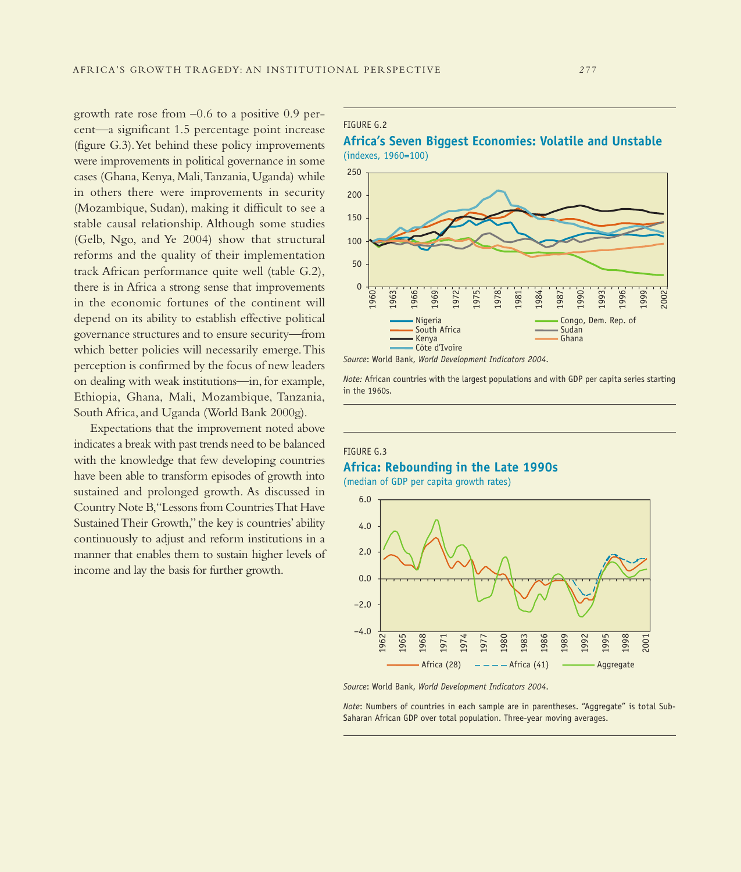growth rate rose from  $-0.6$  to a positive 0.9 percent—a significant 1.5 percentage point increase (figure G.3).Yet behind these policy improvements were improvements in political governance in some cases (Ghana, Kenya, Mali,Tanzania, Uganda) while in others there were improvements in security (Mozambique, Sudan), making it difficult to see a stable causal relationship. Although some studies (Gelb, Ngo, and Ye 2004) show that structural reforms and the quality of their implementation track African performance quite well (table G.2), there is in Africa a strong sense that improvements in the economic fortunes of the continent will depend on its ability to establish effective political governance structures and to ensure security—from which better policies will necessarily emerge.This perception is confirmed by the focus of new leaders on dealing with weak institutions—in, for example, Ethiopia, Ghana, Mali, Mozambique, Tanzania, South Africa, and Uganda (World Bank 2000g).

Expectations that the improvement noted above indicates a break with past trends need to be balanced with the knowledge that few developing countries have been able to transform episodes of growth into sustained and prolonged growth. As discussed in Country Note B,"Lessons from Countries That Have Sustained Their Growth," the key is countries' ability continuously to adjust and reform institutions in a manner that enables them to sustain higher levels of income and lay the basis for further growth.

#### FIGURE G.2

#### **Africa's Seven Biggest Economies: Volatile and Unstable**  (indexes, 1960=100)



*Source*: World Bank, *World Development Indicators 2004*.

*Note:* African countries with the largest populations and with GDP per capita series starting in the 1960s.

#### FIGURE G.3

### **Africa: Rebounding in the Late 1990s**

(median of GDP per capita growth rates)



*Source*: World Bank, *World Development Indicators 2004*.

*Note*: Numbers of countries in each sample are in parentheses. "Aggregate" is total Sub-Saharan African GDP over total population. Three-year moving averages.